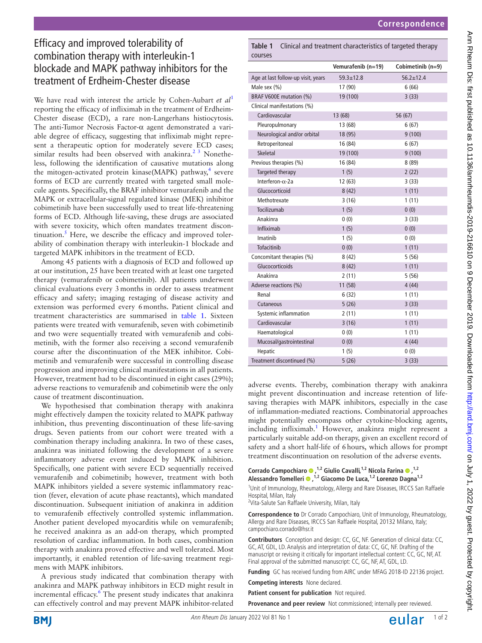## Efficacy and improved tolerability of combination therapy with interleukin-1 blockade and MAPK pathway inhibitors for the treatment of Erdheim-Chester disease

We have read with interest the article by Cohen-Aubart *et al*<sup>[1](#page-1-0)</sup> reporting the efficacy of infliximab in the treatment of Erdheim-Chester disease (ECD), a rare non-Langerhans histiocytosis. The anti-Tumor Necrosis Factor-α agent demonstrated a variable degree of efficacy, suggesting that infliximab might represent a therapeutic option for moderately severe ECD cases; similar results had been observed with anakinra.<sup>2 3</sup> Nonetheless, following the identification of causative mutations along the mitogen-activated protein kinase(MAPK) pathway,<sup>[4](#page-1-2)</sup> severe forms of ECD are currently treated with targeted small molecule agents. Specifically, the BRAF inhibitor vemurafenib and the MAPK or extracellular-signal regulated kinase (MEK) inhibitor cobimetinib have been successfully used to treat life-threatening forms of ECD. Although life-saving, these drugs are associated with severe toxicity, which often mandates treatment discon-tinuation.<sup>[5](#page-1-3)</sup> Here, we describe the efficacy and improved tolerability of combination therapy with interleukin-1 blockade and targeted MAPK inhibitors in the treatment of ECD.

Among 45 patients with a diagnosis of ECD and followed up at our institution, 25 have been treated with at least one targeted therapy (vemurafenib or cobimetinib). All patients underwent clinical evaluations every 3months in order to assess treatment efficacy and safety; imaging restaging of disease activity and extension was performed every 6months. Patient clinical and treatment characteristics are summarised in [table](#page-0-0) 1. Sixteen patients were treated with vemurafenib, seven with cobimetinib and two were sequentially treated with vemurafenib and cobimetinib, with the former also receiving a second vemurafenib course after the discontinuation of the MEK inhibitor. Cobimetinib and vemurafenib were successful in controlling disease progression and improving clinical manifestations in all patients. However, treatment had to be discontinued in eight cases (29%); adverse reactions to vemurafenib and cobimetinib were the only cause of treatment discontinuation.

We hypothesised that combination therapy with anakinra might effectively dampen the toxicity related to MAPK pathway inhibition, thus preventing discontinuation of these life-saving drugs. Seven patients from our cohort were treated with a combination therapy including anakinra. In two of these cases, anakinra was initiated following the development of a severe inflammatory adverse event induced by MAPK inhibition. Specifically, one patient with severe ECD sequentially received vemurafenib and cobimetinib; however, treatment with both MAPK inhibitors yielded a severe systemic inflammatory reaction (fever, elevation of acute phase reactants), which mandated discontinuation. Subsequent initiation of anakinra in addition to vemurafenib effectively controlled systemic inflammation. Another patient developed myocarditis while on vemurafenib; he received anakinra as an add-on therapy, which prompted resolution of cardiac inflammation. In both cases, combination therapy with anakinra proved effective and well tolerated. Most importantly, it enabled retention of life-saving treatment regimens with MAPK inhibitors.

A previous study indicated that combination therapy with anakinra and MAPK pathway inhibitors in ECD might result in incremental efficacy.<sup>[6](#page-1-4)</sup> The present study indicates that anakinra can effectively control and may prevent MAPK inhibitor-related

<span id="page-0-0"></span>**Table 1** Clinical and treatment characteristics of targeted therapy courses

|                                    | Vemurafenib (n=19) | Cobimetinib (n=9) |
|------------------------------------|--------------------|-------------------|
| Age at last follow-up visit, years | $59.3 + 12.8$      | $56.2 + 12.4$     |
| Male sex (%)                       | 17 (90)            | 6(66)             |
| BRAF V600E mutation (%)            | 19 (100)           | 3(33)             |
| Clinical manifestations (%)        |                    |                   |
| Cardiovascular                     | 13 (68)            | 56 (67)           |
| Pleuropulmonary                    | 13 (68)            | 6(67)             |
| Neurological and/or orbital        | 18 (95)            | 9(100)            |
| Retroperitoneal                    | 16 (84)            | 6(67)             |
| <b>Skeletal</b>                    | 19 (100)           | 9(100)            |
| Previous therapies (%)             | 16 (84)            | 8(89)             |
| Targeted therapy                   | 1(5)               | 2(22)             |
| Interferon- $\alpha$ -2a           | 12(63)             | 3(33)             |
| Glucocorticoid                     | 8(42)              | 1(11)             |
| Methotrexate                       | 3(16)              | 1(11)             |
| Tocilizumab                        | 1(5)               | 0(0)              |
| Anakinra                           | 0(0)               | 3(33)             |
| Infliximab                         | 1(5)               | 0(0)              |
| Imatinib                           | 1(5)               | 0(0)              |
| <b>Tofacitinib</b>                 | 0(0)               | 1(11)             |
| Concomitant therapies (%)          | 8(42)              | 5(56)             |
| Glucocorticoids                    | 8(42)              | 1(11)             |
| Anakinra                           | 2(11)              | 5(56)             |
| Adverse reactions (%)              | 11 (58)            | 4(44)             |
| Renal                              | 6(32)              | 1(11)             |
| Cutaneous                          | 5(26)              | 3(33)             |
| Systemic inflammation              | 2(11)              | 1(11)             |
| Cardiovascular                     | 3(16)              | 1(11)             |
| Haematological                     | 0(0)               | 1(11)             |
| Mucosal/gastrointestinal           | 0(0)               | 4(44)             |
| Hepatic                            | 1(5)               | 0(0)              |
| Treatment discontinued (%)         | 5(26)              | 3(33)             |

adverse events. Thereby, combination therapy with anakinra might prevent discontinuation and increase retention of lifesaving therapies with MAPK inhibitors, especially in the case of inflammation-mediated reactions. Combinatorial approaches might potentially encompass other cytokine-blocking agents, including infliximab.<sup>[1](#page-1-0)</sup> However, anakinra might represent a particularly suitable add-on therapy, given an excellent record of safety and a short half-life of 6hours, which allows for prompt treatment discontinuation on resolution of the adverse events.

Corrado Campochiaro <sup>0</sup>,<sup>1,2</sup> Giulio Cavalli,<sup>1,2</sup> Nicola Farina <sup>0</sup>,<sup>1,2</sup> **Alessandro Tomelleri,1,2 Giacomo De Luca,1,2 Lorenzo Dagna1,2**

<sup>1</sup>Unit of Immunology, Rheumatology, Allergy and Rare Diseases, IRCCS San Raffaele Hospital, Milan, Italy

<sup>2</sup>Vita-Salute San Raffaele University, Milan, Italy

**Correspondence to** Dr Corrado Campochiaro, Unit of Immunology, Rheumatology, Allergy and Rare Diseases, IRCCS San Raffaele Hospital, 20132 Milano, Italy; campochiaro.corrado@hsr.it

**Contributors** Conception and design: CC, GC, NF. Generation of clinical data: CC, GC, AT, GDL, LD. Analysis and interpretation of data: CC, GC, NF. Drafting of the manuscript or revising it critically for important intellectual content: CC, GC, NF, AT. Final approval of the submitted manuscript: CC, GC, NF, AT, GDL, LD.

**Funding** GC has received funding from AIRC under MFAG 2018-ID 22136 project.

**Competing interests** None declared.

**Patient consent for publication** Not required.

**Provenance and peer review** Not commissioned; internally peer reviewed.